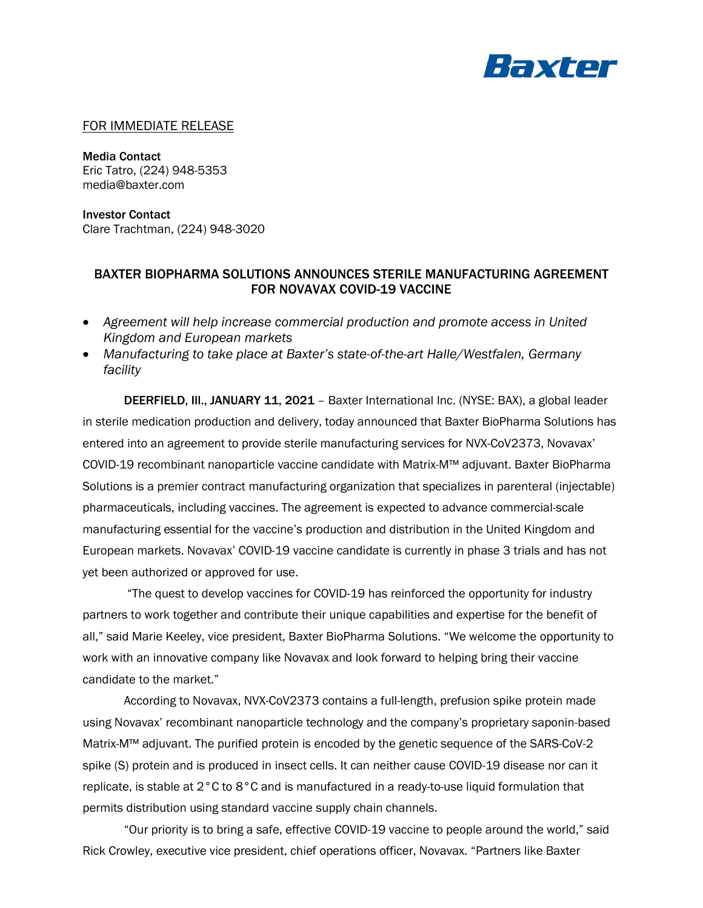

## FOR IMMEDIATE RELEASE

Media Contact Eric Tatro, (224) 948-5353 media@baxter.com

Investor Contact Clare Trachtman, (224) 948-3020

## BAXTER BIOPHARMA SOLUTIONS ANNOUNCES STERILE MANUFACTURING AGREEMENT FOR NOVAVAX COVID-19 VACCINE

- *Agreement will help increase commercial production and promote access in United Kingdom and European markets*
- *Manufacturing to take place at Baxter's state-of-the-art Halle/Westfalen, Germany facility*

DEERFIELD, III., JANUARY 11, 2021 – Baxter International Inc. (NYSE: BAX), a global leader in sterile medication production and delivery, today announced that Baxter BioPharma Solutions has entered into an agreement to provide sterile manufacturing services for NVX-CoV2373, Novavax' COVID-19 recombinant nanoparticle vaccine candidate with Matrix-M™ adjuvant. Baxter BioPharma Solutions is a premier contract manufacturing organization that specializes in parenteral (injectable) pharmaceuticals, including vaccines. The agreement is expected to advance commercial-scale manufacturing essential for the vaccine's production and distribution in the United Kingdom and European markets. Novavax' COVID-19 vaccine candidate is currently in phase 3 trials and has not yet been authorized or approved for use.

"The quest to develop vaccines for COVID-19 has reinforced the opportunity for industry partners to work together and contribute their unique capabilities and expertise for the benefit of all," said Marie Keeley, vice president, Baxter BioPharma Solutions. "We welcome the opportunity to work with an innovative company like Novavax and look forward to helping bring their vaccine candidate to the market."

According to Novavax, NVX-CoV2373 contains a full-length, prefusion spike protein made using Novavax' recombinant nanoparticle technology and the company's proprietary saponin-based Matrix-M™ adjuvant. The purified protein is encoded by the genetic sequence of the SARS-CoV-2 spike (S) protein and is produced in insect cells. It can neither cause COVID-19 disease nor can it replicate, is stable at 2°C to 8°C and is manufactured in a ready-to-use liquid formulation that permits distribution using standard vaccine supply chain channels.

"Our priority is to bring a safe, effective COVID-19 vaccine to people around the world," said Rick Crowley, executive vice president, chief operations officer, Novavax. "Partners like Baxter